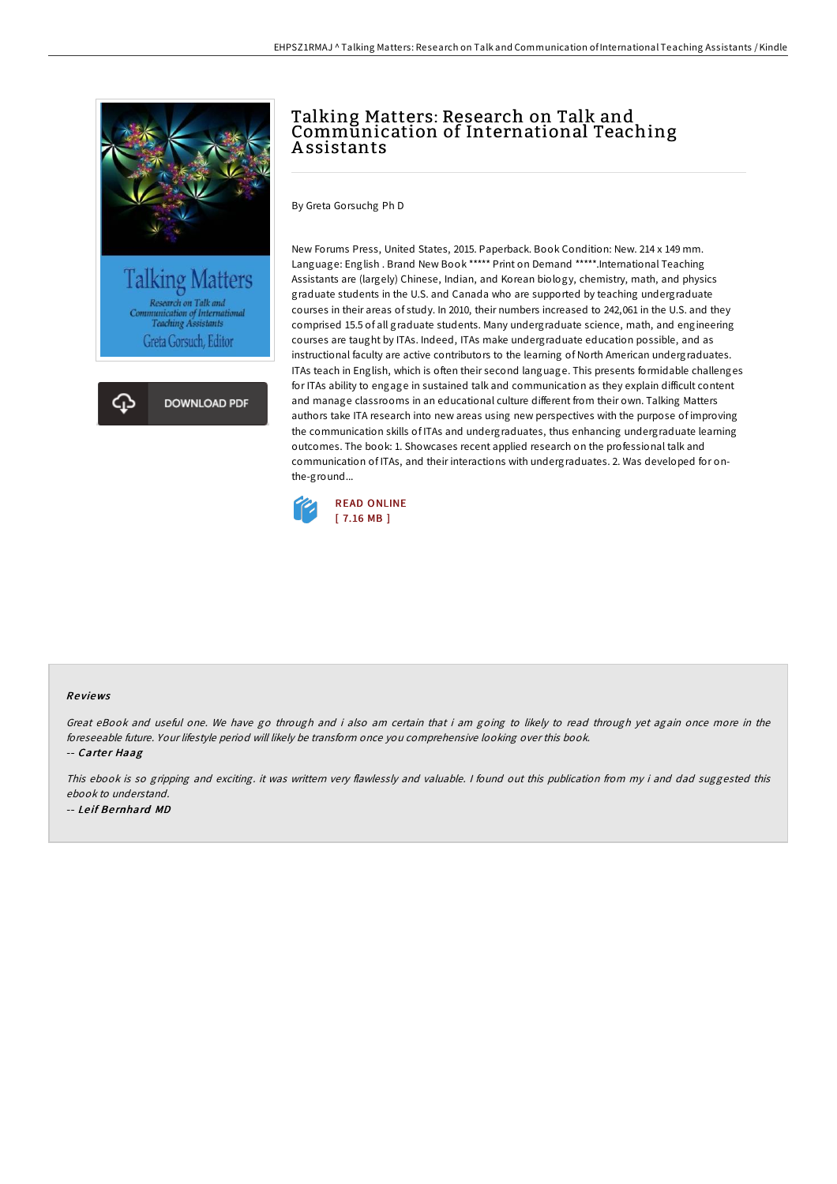





# Talking Matters: Research on Talk and Communication of International Teaching A ssistants

By Greta Gorsuchg Ph D

New Forums Press, United States, 2015. Paperback. Book Condition: New. 214 x 149 mm. Language: English . Brand New Book \*\*\*\*\* Print on Demand \*\*\*\*\*.International Teaching Assistants are (largely) Chinese, Indian, and Korean biology, chemistry, math, and physics graduate students in the U.S. and Canada who are supported by teaching undergraduate courses in their areas of study. In 2010, their numbers increased to 242,061 in the U.S. and they comprised 15.5 of all graduate students. Many undergraduate science, math, and engineering courses are taught by ITAs. Indeed, ITAs make undergraduate education possible, and as instructional faculty are active contributors to the learning of North American undergraduates. ITAs teach in English, which is often their second language. This presents formidable challenges for ITAs ability to engage in sustained talk and communication as they explain difficult content and manage classrooms in an educational culture different from their own. Talking Matters authors take ITA research into new areas using new perspectives with the purpose of improving the communication skills of ITAs and undergraduates, thus enhancing undergraduate learning outcomes. The book: 1. Showcases recent applied research on the professional talk and communication of ITAs, and their interactions with undergraduates. 2. Was developed for onthe-ground...



#### Re views

Great eBook and useful one. We have go through and i also am certain that i am going to likely to read through yet again once more in the foreseeable future. Your lifestyle period will likely be transform once you comprehensive looking over this book.

-- Carter Haag

This ebook is so gripping and exciting, it was writtern very flawlessly and valuable. I found out this publication from my i and dad suggested this ebook to understand. -- Le if Be rnhard MD